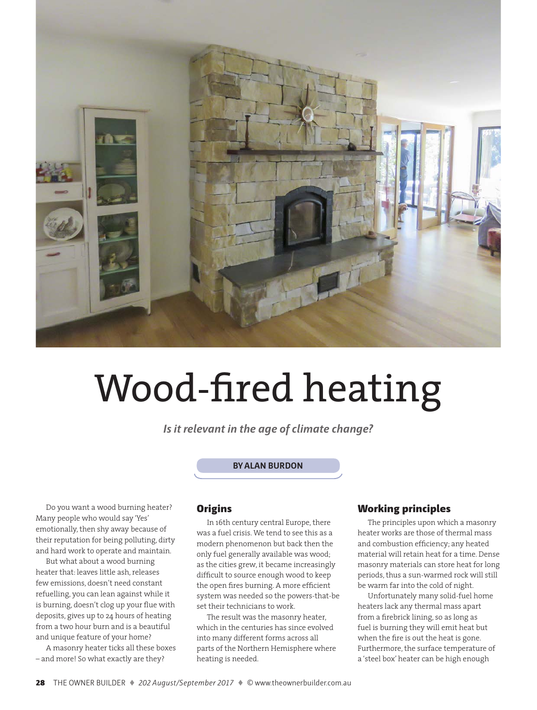

# Wood-fired heating

*Is it relevant in the age of climate change?*

#### **By Alan Burdon**

Do you want a wood burning heater? Many people who would say 'Yes' emotionally, then shy away because of their reputation for being polluting, dirty and hard work to operate and maintain.

But what about a wood burning heater that: leaves little ash, releases few emissions, doesn't need constant refuelling, you can lean against while it is burning, doesn't clog up your flue with deposits, gives up to 24 hours of heating from a two hour burn and is a beautiful and unique feature of your home?

A masonry heater ticks all these boxes – and more! So what exactly are they?

## **Origins**

In 16th century central Europe, there was a fuel crisis. We tend to see this as a modern phenomenon but back then the only fuel generally available was wood; as the cities grew, it became increasingly difficult to source enough wood to keep the open fires burning. A more efficient system was needed so the powers-that-be set their technicians to work.

The result was the masonry heater, which in the centuries has since evolved into many different forms across all parts of the Northern Hemisphere where heating is needed.

# Working principles

The principles upon which a masonry heater works are those of thermal mass and combustion efficiency; any heated material will retain heat for a time. Dense masonry materials can store heat for long periods, thus a sun-warmed rock will still be warm far into the cold of night.

Unfortunately many solid-fuel home heaters lack any thermal mass apart from a firebrick lining, so as long as fuel is burning they will emit heat but when the fire is out the heat is gone. Furthermore, the surface temperature of a 'steel box' heater can be high enough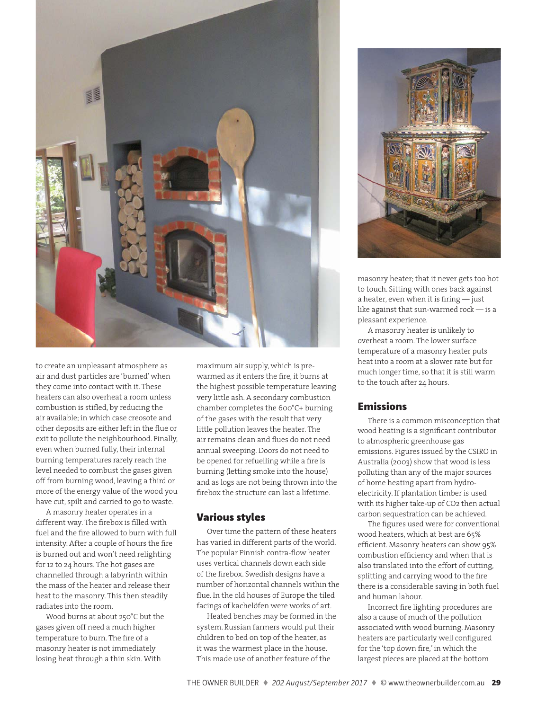

to create an unpleasant atmosphere as air and dust particles are 'burned' when they come into contact with it. These heaters can also overheat a room unless combustion is stifled, by reducing the air available; in which case creosote and other deposits are either left in the flue or exit to pollute the neighbourhood. Finally, even when burned fully, their internal burning temperatures rarely reach the level needed to combust the gases given off from burning wood, leaving a third or more of the energy value of the wood you have cut, spilt and carried to go to waste.

A masonry heater operates in a different way. The firebox is filled with fuel and the fire allowed to burn with full intensity. After a couple of hours the fire is burned out and won't need relighting for 12 to 24 hours. The hot gases are channelled through a labyrinth within the mass of the heater and release their heat to the masonry. This then steadily radiates into the room.

Wood burns at about 250°C but the gases given off need a much higher temperature to burn. The fire of a masonry heater is not immediately losing heat through a thin skin. With

maximum air supply, which is prewarmed as it enters the fire, it burns at the highest possible temperature leaving very little ash. A secondary combustion chamber completes the 600°C+ burning of the gases with the result that very little pollution leaves the heater. The air remains clean and flues do not need annual sweeping. Doors do not need to be opened for refuelling while a fire is burning (letting smoke into the house) and as logs are not being thrown into the firebox the structure can last a lifetime.

## Various styles

Over time the pattern of these heaters has varied in different parts of the world. The popular Finnish contra-flow heater uses vertical channels down each side of the firebox. Swedish designs have a number of horizontal channels within the flue. In the old houses of Europe the tiled facings of kachelöfen were works of art.

Heated benches may be formed in the system. Russian farmers would put their children to bed on top of the heater, as it was the warmest place in the house. This made use of another feature of the



masonry heater; that it never gets too hot to touch. Sitting with ones back against a heater, even when it is firing — just like against that sun-warmed rock — is a pleasant experience.

A masonry heater is unlikely to overheat a room. The lower surface temperature of a masonry heater puts heat into a room at a slower rate but for much longer time, so that it is still warm to the touch after 24 hours.

# Emissions

There is a common misconception that wood heating is a significant contributor to atmospheric greenhouse gas emissions. Figures issued by the CSIRO in Australia (2003) show that wood is less polluting than any of the major sources of home heating apart from hydroelectricity. If plantation timber is used with its higher take-up of CO2 then actual carbon sequestration can be achieved.

The figures used were for conventional wood heaters, which at best are 65% efficient. Masonry heaters can show 95% combustion efficiency and when that is also translated into the effort of cutting, splitting and carrying wood to the fire there is a considerable saving in both fuel and human labour.

Incorrect fire lighting procedures are also a cause of much of the pollution associated with wood burning. Masonry heaters are particularly well configured for the 'top down fire,' in which the largest pieces are placed at the bottom